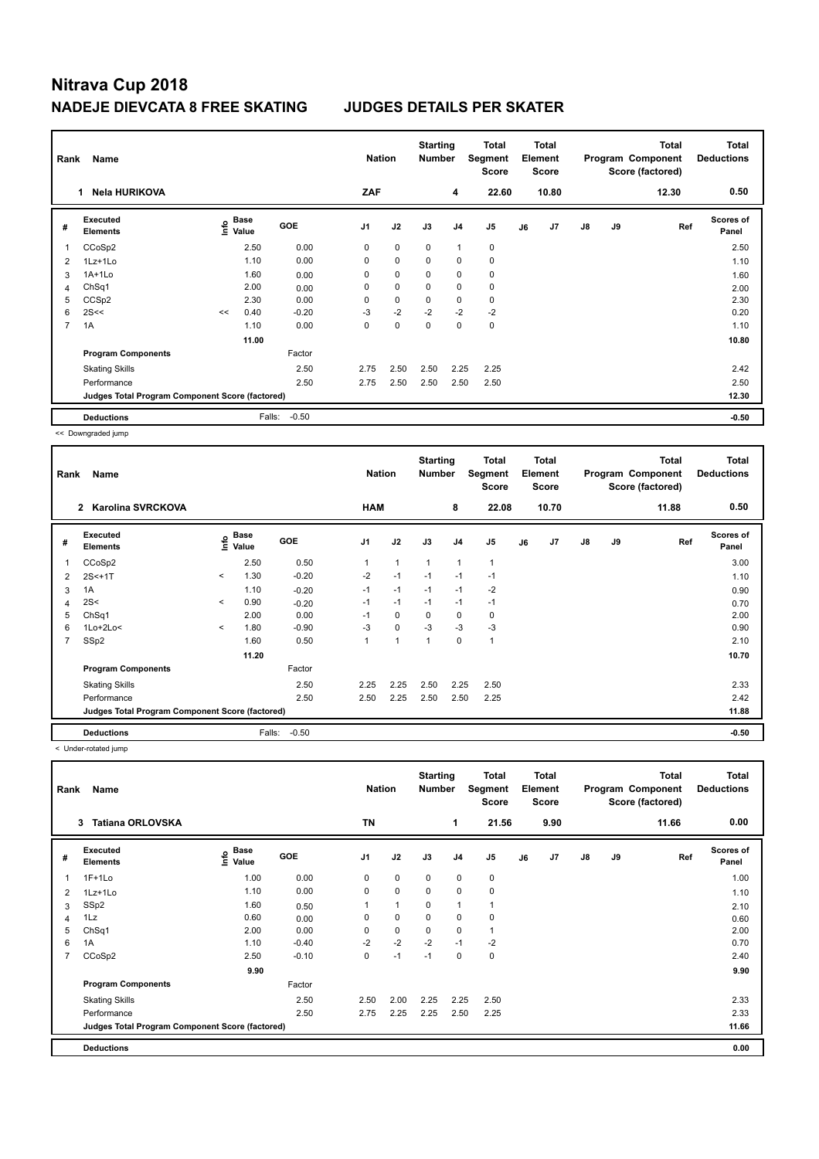# **Nitrava Cup 2018 NADEJE DIEVCATA 8 FREE SKATING JUDGES DETAILS PER SKATER**

|                | Name<br>Rank                                    |    |                           |            |                | <b>Nation</b> | <b>Starting</b><br><b>Number</b> |                | <b>Total</b><br>Segment<br><b>Score</b> | <b>Total</b><br>Element<br><b>Score</b> |       |               |    | <b>Total</b><br>Program Component<br>Score (factored) | <b>Total</b><br><b>Deductions</b> |
|----------------|-------------------------------------------------|----|---------------------------|------------|----------------|---------------|----------------------------------|----------------|-----------------------------------------|-----------------------------------------|-------|---------------|----|-------------------------------------------------------|-----------------------------------|
|                | Nela HURIKOVA<br>1.                             |    |                           |            | ZAF            |               |                                  | 4              | 22.60                                   |                                         | 10.80 |               |    | 12.30                                                 | 0.50                              |
| #              | Executed<br><b>Elements</b>                     |    | Base<br>e Base<br>⊆ Value | <b>GOE</b> | J <sub>1</sub> | J2            | J3                               | J4             | J <sub>5</sub>                          | J6                                      | J7    | $\mathsf{J}8$ | J9 | Ref                                                   | <b>Scores of</b><br>Panel         |
| 1              | CCoSp2                                          |    | 2.50                      | 0.00       | 0              | $\mathbf 0$   | $\mathbf 0$                      | $\overline{1}$ | $\pmb{0}$                               |                                         |       |               |    |                                                       | 2.50                              |
| 2              | $1Lz+1Lo$                                       |    | 1.10                      | 0.00       | 0              | $\mathbf 0$   | $\mathbf 0$                      | $\mathbf 0$    | $\pmb{0}$                               |                                         |       |               |    |                                                       | 1.10                              |
| 3              | 1A+1Lo                                          |    | 1.60                      | 0.00       | 0              | 0             | 0                                | 0              | 0                                       |                                         |       |               |    |                                                       | 1.60                              |
| 4              | ChSq1                                           |    | 2.00                      | 0.00       | $\Omega$       | $\mathbf 0$   | $\Omega$                         | $\mathbf 0$    | $\mathbf 0$                             |                                         |       |               |    |                                                       | 2.00                              |
| 5              | CCS <sub>p2</sub>                               |    | 2.30                      | 0.00       | 0              | $\mathbf 0$   | $\mathbf 0$                      | 0              | 0                                       |                                         |       |               |    |                                                       | 2.30                              |
| 6              | 2S<<                                            | << | 0.40                      | $-0.20$    | $-3$           | $-2$          | $-2$                             | $-2$           | $-2$                                    |                                         |       |               |    |                                                       | 0.20                              |
| $\overline{7}$ | 1A                                              |    | 1.10                      | 0.00       | $\Omega$       | $\mathbf 0$   | $\mathbf 0$                      | $\mathbf 0$    | $\pmb{0}$                               |                                         |       |               |    |                                                       | 1.10                              |
|                |                                                 |    | 11.00                     |            |                |               |                                  |                |                                         |                                         |       |               |    |                                                       | 10.80                             |
|                | <b>Program Components</b>                       |    |                           | Factor     |                |               |                                  |                |                                         |                                         |       |               |    |                                                       |                                   |
|                | <b>Skating Skills</b>                           |    |                           | 2.50       | 2.75           | 2.50          | 2.50                             | 2.25           | 2.25                                    |                                         |       |               |    |                                                       | 2.42                              |
|                | Performance                                     |    |                           | 2.50       | 2.75           | 2.50          | 2.50                             | 2.50           | 2.50                                    |                                         |       |               |    |                                                       | 2.50                              |
|                | Judges Total Program Component Score (factored) |    |                           |            |                |               |                                  |                |                                         |                                         |       |               |    |                                                       | 12.30                             |
|                | <b>Deductions</b>                               |    | Falls:                    | $-0.50$    |                |               |                                  |                |                                         |                                         |       |               |    |                                                       | $-0.50$                           |

<< Downgraded jump

|   | Name<br>Rank                                    |         |               |         |                | <b>Nation</b>  | <b>Starting</b><br><b>Number</b> |                | <b>Total</b><br>Segment<br><b>Score</b> |    | Total<br>Element<br><b>Score</b> |               |    | <b>Total</b><br>Program Component<br>Score (factored) | <b>Total</b><br><b>Deductions</b> |
|---|-------------------------------------------------|---------|---------------|---------|----------------|----------------|----------------------------------|----------------|-----------------------------------------|----|----------------------------------|---------------|----|-------------------------------------------------------|-----------------------------------|
|   | $\mathbf{2}$<br>Karolina SVRCKOVA               |         |               |         | <b>HAM</b>     |                |                                  | 8              | 22.08                                   |    | 10.70                            |               |    | 11.88                                                 | 0.50                              |
| # | Executed<br><b>Elements</b>                     | lnfo    | Base<br>Value | GOE     | J <sub>1</sub> | J2             | J3                               | J <sub>4</sub> | J5                                      | J6 | J7                               | $\mathsf{J}8$ | J9 | Ref                                                   | Scores of<br>Panel                |
|   | CCoSp2                                          |         | 2.50          | 0.50    |                | $\overline{1}$ | 1                                | 1              | 1                                       |    |                                  |               |    |                                                       | 3.00                              |
| 2 | $2S < +1T$                                      | $\prec$ | 1.30          | $-0.20$ | $-2$           | $-1$           | $-1$                             | $-1$           | $-1$                                    |    |                                  |               |    |                                                       | 1.10                              |
| 3 | 1A                                              |         | 1.10          | $-0.20$ | $-1$           | $-1$           | $-1$                             | $-1$           | $-2$                                    |    |                                  |               |    |                                                       | 0.90                              |
| 4 | 2S<                                             | $\prec$ | 0.90          | $-0.20$ | $-1$           | $-1$           | $-1$                             | $-1$           | $-1$                                    |    |                                  |               |    |                                                       | 0.70                              |
| 5 | ChSq1                                           |         | 2.00          | 0.00    | $-1$           | 0              | 0                                | 0              | 0                                       |    |                                  |               |    |                                                       | 2.00                              |
| 6 | $1$ Lo $+2$ Lo<                                 | $\prec$ | 1.80          | $-0.90$ | $-3$           | 0              | $-3$                             | $-3$           | $-3$                                    |    |                                  |               |    |                                                       | 0.90                              |
| 7 | SSp2                                            |         | 1.60          | 0.50    | 1              | $\overline{1}$ |                                  | $\Omega$       | 1                                       |    |                                  |               |    |                                                       | 2.10                              |
|   |                                                 |         | 11.20         |         |                |                |                                  |                |                                         |    |                                  |               |    |                                                       | 10.70                             |
|   | <b>Program Components</b>                       |         |               | Factor  |                |                |                                  |                |                                         |    |                                  |               |    |                                                       |                                   |
|   | <b>Skating Skills</b>                           |         |               | 2.50    | 2.25           | 2.25           | 2.50                             | 2.25           | 2.50                                    |    |                                  |               |    |                                                       | 2.33                              |
|   | Performance                                     |         |               | 2.50    | 2.50           | 2.25           | 2.50                             | 2.50           | 2.25                                    |    |                                  |               |    |                                                       | 2.42                              |
|   | Judges Total Program Component Score (factored) |         |               |         |                |                |                                  |                |                                         |    |                                  |               |    |                                                       | 11.88                             |
|   | <b>Deductions</b>                               |         | Falls:        | $-0.50$ |                |                |                                  |                |                                         |    |                                  |               |    |                                                       | $-0.50$                           |

< Under-rotated jump

| Name<br>Rank |                                                 |                                    |            |                | <b>Nation</b> |             | <b>Starting</b><br><b>Number</b> | <b>Total</b><br>Segment<br><b>Score</b> |    | Total<br>Element<br><b>Score</b> |               |    | <b>Total</b><br>Program Component<br>Score (factored) | <b>Total</b><br><b>Deductions</b> |
|--------------|-------------------------------------------------|------------------------------------|------------|----------------|---------------|-------------|----------------------------------|-----------------------------------------|----|----------------------------------|---------------|----|-------------------------------------------------------|-----------------------------------|
|              | <b>Tatiana ORLOVSKA</b><br>3                    |                                    |            | <b>TN</b>      |               |             | 1                                | 21.56                                   |    | 9.90                             |               |    | 11.66                                                 | 0.00                              |
| #            | Executed<br><b>Elements</b>                     | <b>Base</b><br>$\frac{e}{E}$ Value | <b>GOE</b> | J <sub>1</sub> | J2            | J3          | J4                               | J <sub>5</sub>                          | J6 | J7                               | $\mathsf{J}8$ | J9 | Ref                                                   | <b>Scores of</b><br>Panel         |
|              | $1F+1Lo$                                        | 1.00                               | 0.00       | 0              | $\pmb{0}$     | $\mathbf 0$ | $\mathbf 0$                      | 0                                       |    |                                  |               |    |                                                       | 1.00                              |
| 2            | 1Lz+1Lo                                         | 1.10                               | 0.00       | 0              | $\pmb{0}$     | 0           | 0                                | 0                                       |    |                                  |               |    |                                                       | 1.10                              |
| 3            | SSp2                                            | 1.60                               | 0.50       |                | $\mathbf{1}$  | 0           | $\mathbf{1}$                     |                                         |    |                                  |               |    |                                                       | 2.10                              |
| 4            | 1Lz                                             | 0.60                               | 0.00       | 0              | $\pmb{0}$     | $\mathbf 0$ | 0                                | 0                                       |    |                                  |               |    |                                                       | 0.60                              |
| 5            | ChSq1                                           | 2.00                               | 0.00       | 0              | $\mathbf 0$   | $\mathbf 0$ | $\mathbf 0$                      | 1                                       |    |                                  |               |    |                                                       | 2.00                              |
| 6            | 1A                                              | 1.10                               | $-0.40$    | $-2$           | $-2$          | $-2$        | $-1$                             | $-2$                                    |    |                                  |               |    |                                                       | 0.70                              |
| 7            | CCoSp2                                          | 2.50                               | $-0.10$    | 0              | $-1$          | $-1$        | 0                                | $\pmb{0}$                               |    |                                  |               |    |                                                       | 2.40                              |
|              |                                                 | 9.90                               |            |                |               |             |                                  |                                         |    |                                  |               |    |                                                       | 9.90                              |
|              | <b>Program Components</b>                       |                                    | Factor     |                |               |             |                                  |                                         |    |                                  |               |    |                                                       |                                   |
|              | <b>Skating Skills</b>                           |                                    | 2.50       | 2.50           | 2.00          | 2.25        | 2.25                             | 2.50                                    |    |                                  |               |    |                                                       | 2.33                              |
|              | Performance                                     |                                    | 2.50       | 2.75           | 2.25          | 2.25        | 2.50                             | 2.25                                    |    |                                  |               |    |                                                       | 2.33                              |
|              | Judges Total Program Component Score (factored) |                                    |            |                |               |             |                                  |                                         |    |                                  |               |    |                                                       | 11.66                             |
|              | <b>Deductions</b>                               |                                    |            |                |               |             |                                  |                                         |    |                                  |               |    |                                                       | 0.00                              |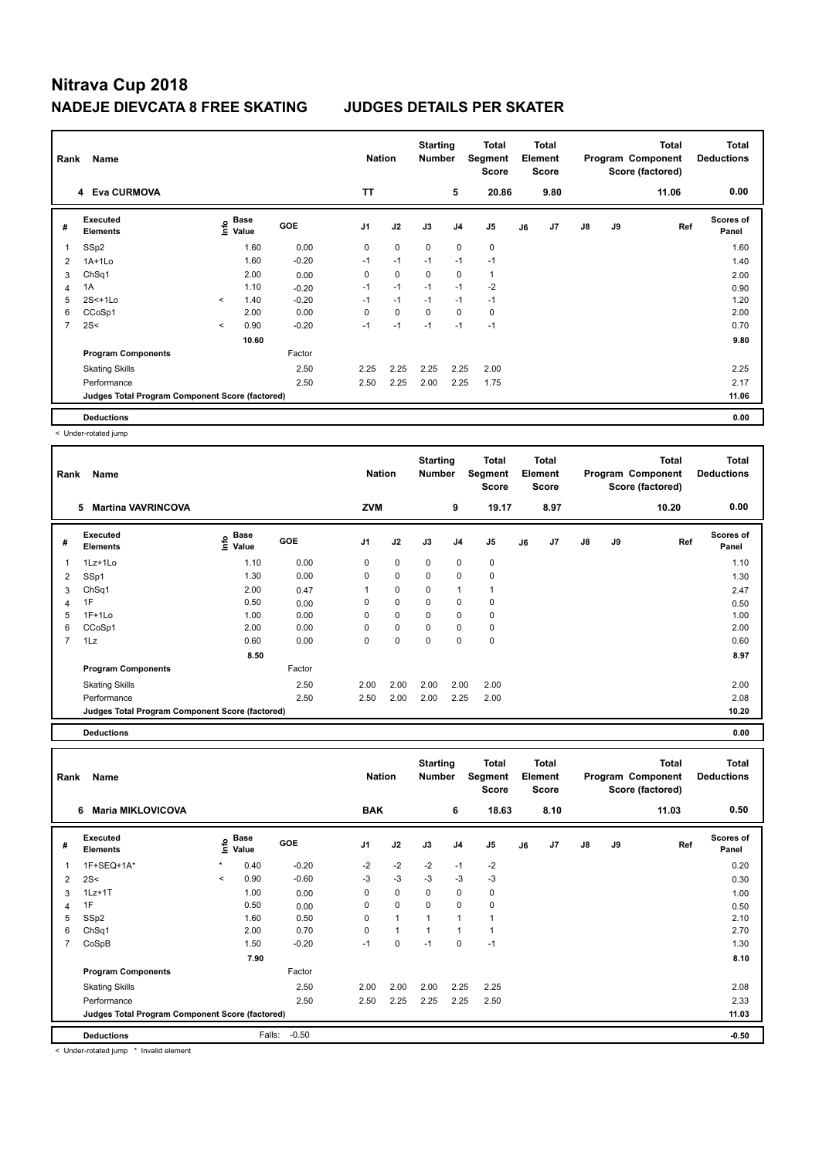# **Nitrava Cup 2018 NADEJE DIEVCATA 8 FREE SKATING JUDGES DETAILS PER SKATER**

|                | Name<br>Rank                                    |         |                                  |            |           | <b>Nation</b> | <b>Starting</b><br><b>Number</b> |                | <b>Total</b><br>Segment<br><b>Score</b> |    | <b>Total</b><br>Element<br><b>Score</b> |               |    | <b>Total</b><br>Program Component<br>Score (factored) | <b>Total</b><br><b>Deductions</b> |
|----------------|-------------------------------------------------|---------|----------------------------------|------------|-----------|---------------|----------------------------------|----------------|-----------------------------------------|----|-----------------------------------------|---------------|----|-------------------------------------------------------|-----------------------------------|
|                | 4 Eva CURMOVA                                   |         |                                  |            | <b>TT</b> |               |                                  | 5              | 20.86                                   |    | 9.80                                    |               |    | 11.06                                                 | 0.00                              |
| #              | Executed<br><b>Elements</b>                     |         | <b>Base</b><br>e Base<br>⊆ Value | <b>GOE</b> | J1        | J2            | J3                               | J <sub>4</sub> | J5                                      | J6 | J7                                      | $\mathsf{J}8$ | J9 | Ref                                                   | Scores of<br>Panel                |
| 1              | SSp2                                            |         | 1.60                             | 0.00       | 0         | $\mathbf 0$   | 0                                | $\mathbf 0$    | 0                                       |    |                                         |               |    |                                                       | 1.60                              |
| $\overline{2}$ | $1A+1Lo$                                        |         | 1.60                             | $-0.20$    | $-1$      | $-1$          | $-1$                             | $-1$           | $-1$                                    |    |                                         |               |    |                                                       | 1.40                              |
| 3              | Ch <sub>Sq1</sub>                               |         | 2.00                             | 0.00       | 0         | $\mathbf 0$   | 0                                | 0              | $\mathbf{1}$                            |    |                                         |               |    |                                                       | 2.00                              |
| 4              | 1A                                              |         | 1.10                             | $-0.20$    | $-1$      | $-1$          | $-1$                             | $-1$           | $-2$                                    |    |                                         |               |    |                                                       | 0.90                              |
| 5              | $2S<+1Lo$                                       | $\prec$ | 1.40                             | $-0.20$    | $-1$      | $-1$          | $-1$                             | $-1$           | $-1$                                    |    |                                         |               |    |                                                       | 1.20                              |
| 6              | CCoSp1                                          |         | 2.00                             | 0.00       | 0         | $\mathbf 0$   | $\mathbf 0$                      | $\mathbf 0$    | 0                                       |    |                                         |               |    |                                                       | 2.00                              |
| $\overline{7}$ | 2S<                                             | $\prec$ | 0.90                             | $-0.20$    | $-1$      | $-1$          | $-1$                             | $-1$           | $-1$                                    |    |                                         |               |    |                                                       | 0.70                              |
|                |                                                 |         | 10.60                            |            |           |               |                                  |                |                                         |    |                                         |               |    |                                                       | 9.80                              |
|                | <b>Program Components</b>                       |         |                                  | Factor     |           |               |                                  |                |                                         |    |                                         |               |    |                                                       |                                   |
|                | <b>Skating Skills</b>                           |         |                                  | 2.50       | 2.25      | 2.25          | 2.25                             | 2.25           | 2.00                                    |    |                                         |               |    |                                                       | 2.25                              |
|                | Performance                                     |         |                                  | 2.50       | 2.50      | 2.25          | 2.00                             | 2.25           | 1.75                                    |    |                                         |               |    |                                                       | 2.17                              |
|                | Judges Total Program Component Score (factored) |         |                                  |            |           |               |                                  |                |                                         |    |                                         |               |    |                                                       | 11.06                             |
|                | <b>Deductions</b>                               |         |                                  |            |           |               |                                  |                |                                         |    |                                         |               |    |                                                       | 0.00                              |

< Under-rotated jump

| Name<br>Rank                                    |                                         |            |                |             | <b>Starting</b><br><b>Total</b><br>Number<br>Segment<br><b>Score</b> |                |                | <b>Total</b><br>Element<br>Score |       |               |    | <b>Total</b> | <b>Total</b><br><b>Deductions</b>     |
|-------------------------------------------------|-----------------------------------------|------------|----------------|-------------|----------------------------------------------------------------------|----------------|----------------|----------------------------------|-------|---------------|----|--------------|---------------------------------------|
| <b>Martina VAVRINCOVA</b>                       |                                         |            |                |             |                                                                      | 9              |                |                                  | 8.97  |               |    | 10.20        | 0.00                                  |
| Executed                                        | <b>Base</b><br>Info<br>Value            | <b>GOE</b> | J <sub>1</sub> | J2          | J3                                                                   | J <sub>4</sub> | J <sub>5</sub> | J6                               | J7    | $\mathsf{J}8$ | J9 | Ref          | <b>Scores of</b><br>Panel             |
| 1Lz+1Lo                                         | 1.10                                    | 0.00       | 0              | $\mathbf 0$ | $\Omega$                                                             | $\mathbf 0$    | 0              |                                  |       |               |    |              | 1.10                                  |
| SSp1                                            | 1.30                                    | 0.00       | 0              | 0           | 0                                                                    | $\mathbf 0$    | $\mathbf 0$    |                                  |       |               |    |              | 1.30                                  |
|                                                 | 2.00                                    | 0.47       |                | 0           | 0                                                                    | $\overline{1}$ |                |                                  |       |               |    |              | 2.47                                  |
| 1F                                              | 0.50                                    | 0.00       | 0              | 0           | 0                                                                    | 0              | 0              |                                  |       |               |    |              | 0.50                                  |
| $1F+1Lo$                                        | 1.00                                    | 0.00       | $\Omega$       | $\mathbf 0$ | $\Omega$                                                             | $\mathbf 0$    | $\mathbf 0$    |                                  |       |               |    |              | 1.00                                  |
|                                                 | 2.00                                    | 0.00       | 0              | 0           | $\Omega$                                                             | 0              | 0              |                                  |       |               |    |              | 2.00                                  |
| 1Lz                                             | 0.60                                    | 0.00       | 0              | $\mathbf 0$ | 0                                                                    | $\mathbf 0$    | 0              |                                  |       |               |    |              | 0.60                                  |
|                                                 | 8.50                                    |            |                |             |                                                                      |                |                |                                  |       |               |    |              | 8.97                                  |
| <b>Program Components</b>                       |                                         | Factor     |                |             |                                                                      |                |                |                                  |       |               |    |              |                                       |
| <b>Skating Skills</b>                           |                                         | 2.50       | 2.00           | 2.00        | 2.00                                                                 | 2.00           | 2.00           |                                  |       |               |    |              | 2.00                                  |
| Performance                                     |                                         | 2.50       | 2.50           | 2.00        | 2.00                                                                 | 2.25           | 2.00           |                                  |       |               |    |              | 2.08                                  |
| Judges Total Program Component Score (factored) |                                         |            |                |             |                                                                      |                |                |                                  |       |               |    |              | 10.20                                 |
|                                                 | 5<br><b>Elements</b><br>ChSq1<br>CCoSp1 |            |                |             | <b>Nation</b><br><b>ZVM</b>                                          |                |                |                                  | 19.17 |               |    |              | Program Component<br>Score (factored) |

**Deductions 0.00**

|                          | Name<br>Rank                                    |              |                      |            | <b>Nation</b>  |              | <b>Starting</b><br><b>Number</b> |                | Total<br>Segment<br><b>Score</b> |    | <b>Total</b><br>Element<br>Score |               |    | <b>Total</b><br>Program Component<br>Score (factored) | <b>Total</b><br><b>Deductions</b> |
|--------------------------|-------------------------------------------------|--------------|----------------------|------------|----------------|--------------|----------------------------------|----------------|----------------------------------|----|----------------------------------|---------------|----|-------------------------------------------------------|-----------------------------------|
|                          | <b>Maria MIKLOVICOVA</b><br>6                   |              |                      |            | <b>BAK</b>     |              |                                  | 6              | 18.63                            |    | 8.10                             |               |    | 11.03                                                 | 0.50                              |
| #                        | Executed<br><b>Elements</b>                     | lnfo         | <b>Base</b><br>Value | <b>GOE</b> | J <sub>1</sub> | J2           | J3                               | J <sub>4</sub> | J5                               | J6 | J7                               | $\mathsf{J}8$ | J9 | Ref                                                   | <b>Scores of</b><br>Panel         |
| $\overline{\phantom{a}}$ | 1F+SEQ+1A*                                      | $\pmb{\ast}$ | 0.40                 | $-0.20$    | $-2$           | $-2$         | $-2$                             | $-1$           | $-2$                             |    |                                  |               |    |                                                       | 0.20                              |
| $\overline{2}$           | 2S<                                             | $\prec$      | 0.90                 | $-0.60$    | $-3$           | $-3$         | $-3$                             | $-3$           | $-3$                             |    |                                  |               |    |                                                       | 0.30                              |
| 3                        | $1Lz+1T$                                        |              | 1.00                 | 0.00       | 0              | $\mathbf 0$  | 0                                | 0              | 0                                |    |                                  |               |    |                                                       | 1.00                              |
| 4                        | 1F                                              |              | 0.50                 | 0.00       | 0              | 0            | 0                                | 0              | 0                                |    |                                  |               |    |                                                       | 0.50                              |
| 5                        | SSp2                                            |              | 1.60                 | 0.50       | 0              | $\mathbf{1}$ | $\mathbf{1}$                     | $\overline{1}$ | 1                                |    |                                  |               |    |                                                       | 2.10                              |
| 6                        | Ch <sub>Sq1</sub>                               |              | 2.00                 | 0.70       | $\Omega$       | $\mathbf{1}$ | 1                                | 1              | 1                                |    |                                  |               |    |                                                       | 2.70                              |
| $\overline{7}$           | CoSpB                                           |              | 1.50                 | $-0.20$    | $-1$           | $\mathbf 0$  | $-1$                             | $\mathbf 0$    | $-1$                             |    |                                  |               |    |                                                       | 1.30                              |
|                          |                                                 |              | 7.90                 |            |                |              |                                  |                |                                  |    |                                  |               |    |                                                       | 8.10                              |
|                          | <b>Program Components</b>                       |              |                      | Factor     |                |              |                                  |                |                                  |    |                                  |               |    |                                                       |                                   |
|                          | <b>Skating Skills</b>                           |              |                      | 2.50       | 2.00           | 2.00         | 2.00                             | 2.25           | 2.25                             |    |                                  |               |    |                                                       | 2.08                              |
|                          | Performance                                     |              |                      | 2.50       | 2.50           | 2.25         | 2.25                             | 2.25           | 2.50                             |    |                                  |               |    |                                                       | 2.33                              |
|                          | Judges Total Program Component Score (factored) |              |                      |            |                |              |                                  |                |                                  |    |                                  |               |    |                                                       | 11.03                             |
|                          | <b>Deductions</b>                               |              | Falls:               | $-0.50$    |                |              |                                  |                |                                  |    |                                  |               |    |                                                       | $-0.50$                           |

< Under-rotated jump \* Invalid element